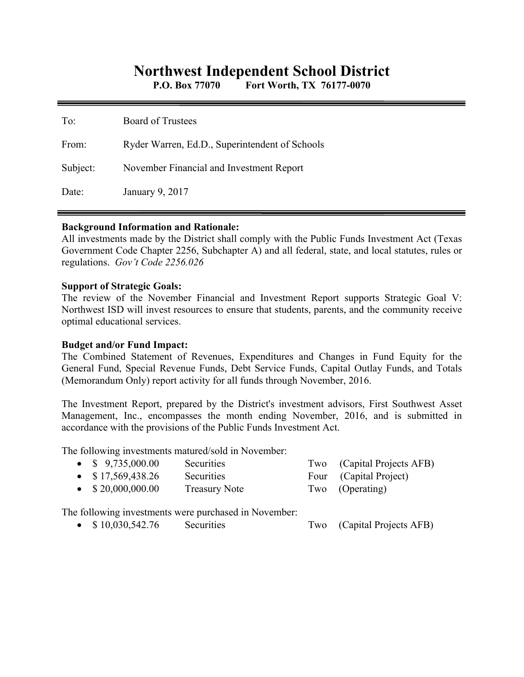# **Northwest Independent School District**

**P.O. Box 77070 Fort Worth, TX 76177-0070** 

| To:      | <b>Board of Trustees</b>                       |
|----------|------------------------------------------------|
| From:    | Ryder Warren, Ed.D., Superintendent of Schools |
| Subject: | November Financial and Investment Report       |
| Date:    | January 9, 2017                                |

### **Background Information and Rationale:**

All investments made by the District shall comply with the Public Funds Investment Act (Texas Government Code Chapter 2256, Subchapter A) and all federal, state, and local statutes, rules or regulations. *Gov't Code 2256.026* 

### **Support of Strategic Goals:**

The review of the November Financial and Investment Report supports Strategic Goal V: Northwest ISD will invest resources to ensure that students, parents, and the community receive optimal educational services.

## **Budget and/or Fund Impact:**

The Combined Statement of Revenues, Expenditures and Changes in Fund Equity for the General Fund, Special Revenue Funds, Debt Service Funds, Capital Outlay Funds, and Totals (Memorandum Only) report activity for all funds through November, 2016.

The Investment Report, prepared by the District's investment advisors, First Southwest Asset Management, Inc., encompasses the month ending November, 2016, and is submitted in accordance with the provisions of the Public Funds Investment Act.

The following investments matured/sold in November:

| • $$9,735,000.00$         | Securities           | Two (Capital Projects AFB) |
|---------------------------|----------------------|----------------------------|
| $\bullet$ \$17,569,438.26 | Securities           | Four (Capital Project)     |
| $\bullet$ \$20,000,000.00 | <b>Treasury Note</b> | Two (Operating)            |

The following investments were purchased in November:

• \$ 10,030,542.76 Securities Two (Capital Projects AFB)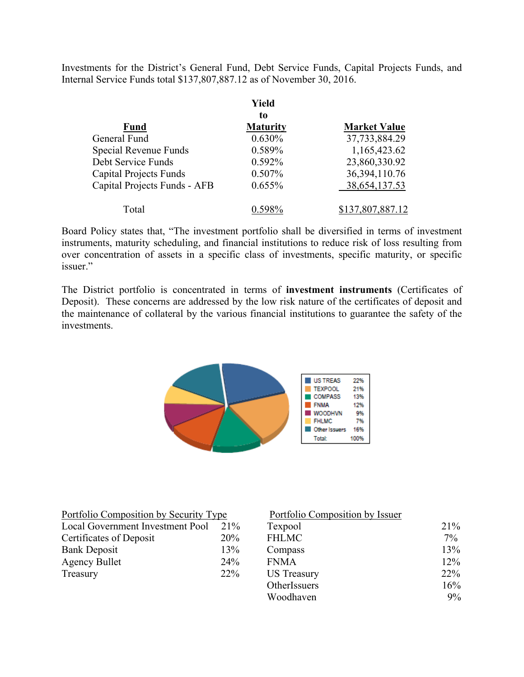Investments for the District's General Fund, Debt Service Funds, Capital Projects Funds, and Internal Service Funds total \$137,807,887.12 as of November 30, 2016.

|                               | Yield           |                     |
|-------------------------------|-----------------|---------------------|
|                               | to              |                     |
| <b>Fund</b>                   | <b>Maturity</b> | <b>Market Value</b> |
| General Fund                  | 0.630%          | 37,733,884.29       |
| Special Revenue Funds         | 0.589%          | 1,165,423.62        |
| Debt Service Funds            | 0.592%          | 23,860,330.92       |
| <b>Capital Projects Funds</b> | 0.507%          | 36, 394, 110. 76    |
| Capital Projects Funds - AFB  | 0.655%          | 38,654,137.53       |
| Total                         | 0 598%          | \$137,807,887.12    |

Board Policy states that, "The investment portfolio shall be diversified in terms of investment instruments, maturity scheduling, and financial institutions to reduce risk of loss resulting from over concentration of assets in a specific class of investments, specific maturity, or specific issuer."

The District portfolio is concentrated in terms of **investment instruments** (Certificates of Deposit). These concerns are addressed by the low risk nature of the certificates of deposit and the maintenance of collateral by the various financial institutions to guarantee the safety of the investments.



| Portfolio Composition by Security Type | Portfolio Composition by Issuer |                    |     |
|----------------------------------------|---------------------------------|--------------------|-----|
| Local Government Investment Pool       | 21%                             | Texpool            | 21% |
| Certificates of Deposit                | 20%                             | <b>FHLMC</b>       | 7%  |
| <b>Bank Deposit</b>                    | 13%                             | Compass            | 13% |
| <b>Agency Bullet</b>                   | 24%                             | <b>FNMA</b>        | 12% |
| Treasury                               | 22%                             | <b>US</b> Treasury | 22% |
|                                        |                                 | OtherIssuers       | 16% |
|                                        |                                 | Woodhaven          | 9%  |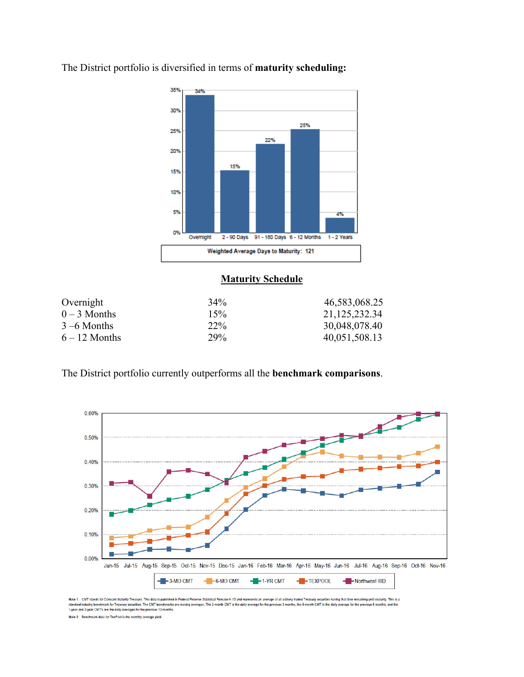

The District portfolio is diversified in terms of **maturity scheduling:** 

# **Maturity Schedule**

| Overnight       | $34\%$ | 46,583,068.25 |
|-----------------|--------|---------------|
| $0-3$ Months    | 15%    | 21,125,232.34 |
| $3 - 6$ Months  | $22\%$ | 30,048,078.40 |
| $6 - 12$ Months | 29%    | 40,051,508.13 |

The District portfolio currently outperforms all the **benchmark comparisons**.



Note 1: CMT stands for Constant Maturity Treasury. This data is published in Federal Resene Statistical Release H.15 and represents an average of all actively baded Treasury securities having that ime remaining until matur

Note 2: Benchmark data for TexPool is the monthly average yield.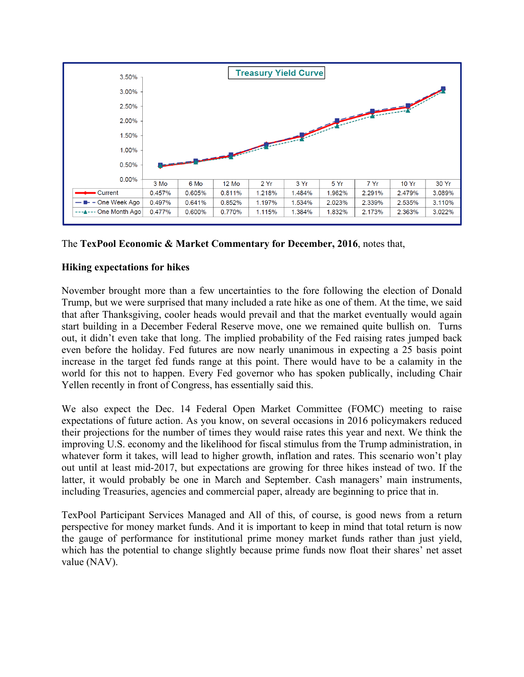

The **TexPool Economic & Market Commentary for December, 2016**, notes that,

# **Hiking expectations for hikes**

November brought more than a few uncertainties to the fore following the election of Donald Trump, but we were surprised that many included a rate hike as one of them. At the time, we said that after Thanksgiving, cooler heads would prevail and that the market eventually would again start building in a December Federal Reserve move, one we remained quite bullish on. Turns out, it didn't even take that long. The implied probability of the Fed raising rates jumped back even before the holiday. Fed futures are now nearly unanimous in expecting a 25 basis point increase in the target fed funds range at this point. There would have to be a calamity in the world for this not to happen. Every Fed governor who has spoken publically, including Chair Yellen recently in front of Congress, has essentially said this.

We also expect the Dec. 14 Federal Open Market Committee (FOMC) meeting to raise expectations of future action. As you know, on several occasions in 2016 policymakers reduced their projections for the number of times they would raise rates this year and next. We think the improving U.S. economy and the likelihood for fiscal stimulus from the Trump administration, in whatever form it takes, will lead to higher growth, inflation and rates. This scenario won't play out until at least mid-2017, but expectations are growing for three hikes instead of two. If the latter, it would probably be one in March and September. Cash managers' main instruments, including Treasuries, agencies and commercial paper, already are beginning to price that in.

TexPool Participant Services Managed and All of this, of course, is good news from a return perspective for money market funds. And it is important to keep in mind that total return is now the gauge of performance for institutional prime money market funds rather than just yield, which has the potential to change slightly because prime funds now float their shares' net asset value (NAV).